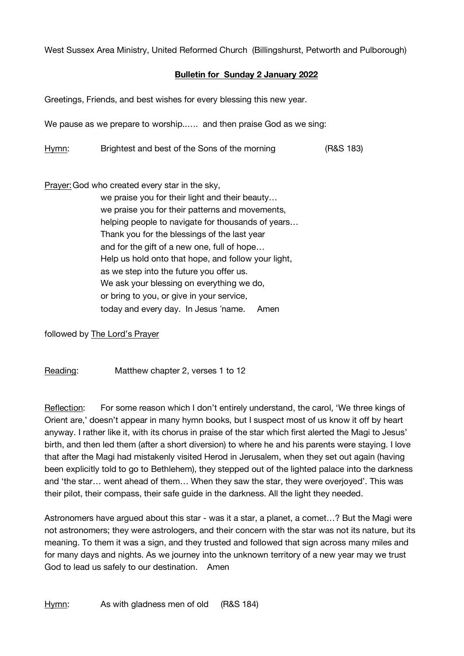West Sussex Area Ministry, United Reformed Church (Billingshurst, Petworth and Pulborough)

## **Bulletin for Sunday 2 January 2022**

Greetings, Friends, and best wishes for every blessing this new year.

We pause as we prepare to worship..…. and then praise God as we sing:

Hymn: Brightest and best of the Sons of the morning (R&S 183)

Prayer: God who created every star in the sky.

we praise you for their light and their beauty… we praise you for their patterns and movements, helping people to navigate for thousands of years… Thank you for the blessings of the last year and for the gift of a new one, full of hope… Help us hold onto that hope, and follow your light, as we step into the future you offer us. We ask your blessing on everything we do, or bring to you, or give in your service, today and every day. In Jesus "name. Amen

followed by The Lord's Prayer

Reading: Matthew chapter 2, verses 1 to 12

Reflection: For some reason which I don't entirely understand, the carol, 'We three kings of Orient are,' doesn't appear in many hymn books, but I suspect most of us know it off by heart anyway. I rather like it, with its chorus in praise of the star which first alerted the Magi to Jesus' birth, and then led them (after a short diversion) to where he and his parents were staying. I love that after the Magi had mistakenly visited Herod in Jerusalem, when they set out again (having been explicitly told to go to Bethlehem), they stepped out of the lighted palace into the darkness and 'the star… went ahead of them… When they saw the star, they were overjoyed'. This was their pilot, their compass, their safe guide in the darkness. All the light they needed.

Astronomers have argued about this star - was it a star, a planet, a comet…? But the Magi were not astronomers; they were astrologers, and their concern with the star was not its nature, but its meaning. To them it was a sign, and they trusted and followed that sign across many miles and for many days and nights. As we journey into the unknown territory of a new year may we trust God to lead us safely to our destination. Amen